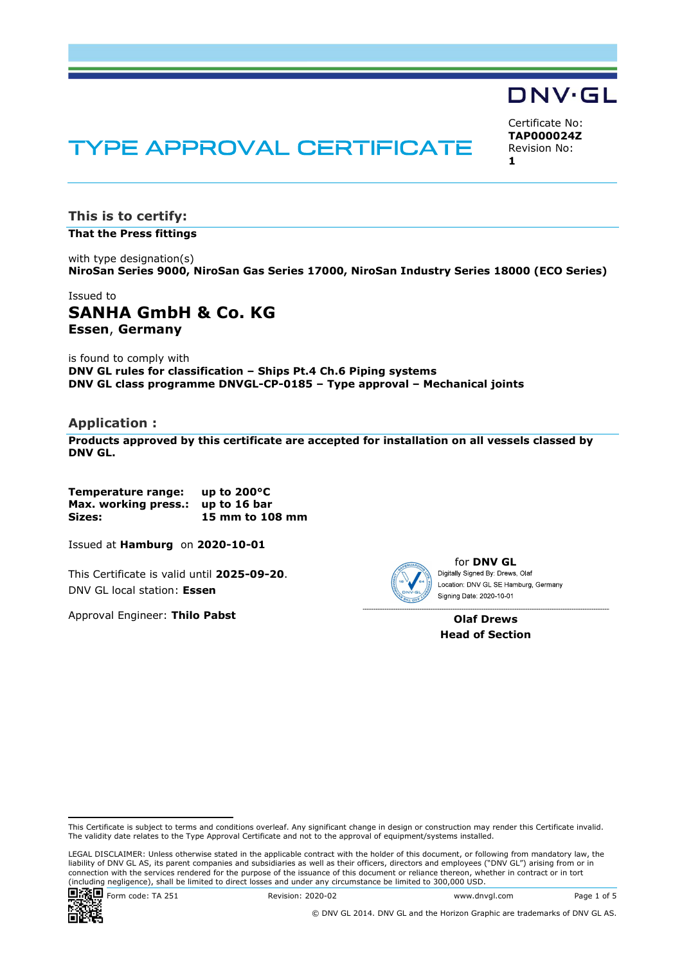# **TYPE APPROVAL CERTIFICATE**

This is to certify: That the Press fittings

with type designation(s) NiroSan Series 9000, NiroSan Gas Series 17000, NiroSan Industry Series 18000 (ECO Series)

## Issued to SANHA GmbH & Co. KG<br>Essen, Germany

is found to comply with DNV GL rules for classification - Ships Pt.4 Ch.6 Piping systems DNV GL class programme DNVGL-CP-0185 - Type approval - Mechanical joints

#### Application :

Products approved by this certificate are accepted for installation on all vessels classed by DNV GL.

Temperature range: up to 200°C Max. working press.: up to 16 bar Sizes: 15 mm to 108 mm

Issued at **Hamburg** on 2020-10-01 for I<br>This Certificate is valid until 2025-09-20.<br>DNV GL local station: Essen

Approval Engineer: Thilo Pabst



**for DNV GL**<br>Digitally Signed By: Drews, Olaf

Olaf Drews Head of Section

**Form code: TA 251**<br> **Examples and Conditions contribute the state of Section**<br> **Form code:** TA 251 Revise of 2021 Revise of 2021 Revise of 2021<br> **Form code:** TA 251 Revise of 2021 Revise of 2021 Revise of 2021 Revise of LEGAL DISCLAIMER: Unless otherwise stated in the applicable contract with the holder of this document, or following from mandatory law, the liability of DNV GL AS, its parent companies and subsidiaries as well as their officers, directors and employees ("DNV GL") arising from or in connection with the services rendered for the purpose of the issuance of this document or reliance thereon, whether in contract or in tort (including negligence), shall be limited to direct losses and under any circumstance be limited to 300,000 USD.



© DNV GL 2014. DNV GL and the Horizon Graphic are trademarks of DNV GL AS.



Certificate No: TAP000024Z Revision No:  $1$  and  $1$  and  $1$  and  $1$  and  $1$ 

This Certificate is subject to terms and conditions overleaf. Any significant change in design or construction may render this Certificate invalid. The validity date relates to the Type Approval Certificate and not to the approval of equipment/systems installed.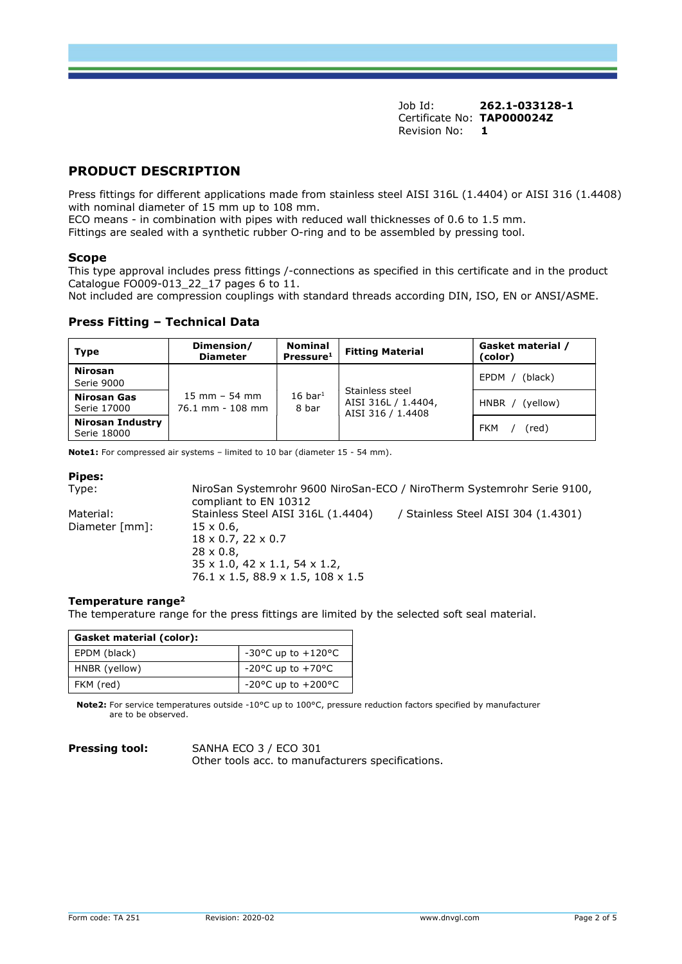## PRODUCT DESCRIPTION

Press fittings for different applications made from stainless steel AISI 316L (1.4404) or AISI 316 (1.4408) with nominal diameter of 15 mm up to 108 mm.

ECO means - in combination with pipes with reduced wall thicknesses of 0.6 to 1.5 mm.

Fittings are sealed with a synthetic rubber O-ring and to be assembled by pressing tool.

#### Scope

This type approval includes press fittings /-connections as specified in this certificate and in the product Catalogue FO009-013 22 17 pages 6 to 11.

Not included are compression couplings with standard threads according DIN, ISO, EN or ANSI/ASME.

#### Press Fitting - Technical Data

| <b>Type</b>                     | Dimension/<br><b>Diameter</b>                       | <b>Nominal</b><br>Pressure <sup>1</sup> | <b>Fitting Material</b>                                     | Gasket material /<br>(color) |
|---------------------------------|-----------------------------------------------------|-----------------------------------------|-------------------------------------------------------------|------------------------------|
| <b>Nirosan</b><br>Serie 9000    | $15 \text{ mm} - 54 \text{ mm}$<br>76.1 mm - 108 mm | $16$ bar <sup>1</sup><br>8 bar          | Stainless steel<br>AISI 316L / 1.4404,<br>AISI 316 / 1.4408 | (black)<br>EPDM /            |
| Nirosan Gas<br>Serie 17000      |                                                     |                                         |                                                             | (yellow)<br>$HNBR$ /         |
| Nirosan Industry<br>Serie 18000 |                                                     |                                         |                                                             | FKM<br>(red)                 |

Note1: For compressed air systems - limited to 10 bar (diameter 15 - 54 mm).

#### Pipes:

Type: NiroSan Systemrohr 9600 NiroSan-ECO / NiroTherm Systemrohr Serie 9100, compliant to EN 10312 Material: Stainless Steel AISI 316L (1.4404) / Stainless Steel AISI 304 (1.4301) Diameter [mm]: 15 x 0.6, 18 x 0.7, 22 x 0.7 28 x 0.8, 35 x 1.0, 42 x 1.1, 54 x 1.2, 76.1 x 1.5, 88.9 x 1.5, 108 x 1.5

#### Temperature range<sup>2</sup>

The temperature range for the press fittings are limited by the selected soft seal material.

| Gasket material (color): |                                                                                                                 |               |             |
|--------------------------|-----------------------------------------------------------------------------------------------------------------|---------------|-------------|
| EPDM (black)             | -30°C up to $+120$ °C                                                                                           |               |             |
| HNBR (yellow)            | $-20$ °C up to $+70$ °C                                                                                         |               |             |
| FKM (red)                | -20°C up to $+200$ °C                                                                                           |               |             |
| are to be observed.      | Note2: For service temperatures outside -10°C up to 100°C, pressure reduction factors specified by manufacturer |               |             |
| <b>Pressing tool:</b>    | SANHA ECO 3 / ECO 301<br>Other tools acc. to manufacturers specifications.                                      |               |             |
|                          |                                                                                                                 |               |             |
|                          |                                                                                                                 |               |             |
|                          |                                                                                                                 |               |             |
|                          |                                                                                                                 |               |             |
| Form code: TA 251        | Revision: 2020-02                                                                                               | www.dnvgl.com | Page 2 of 5 |

| <b>Pressing tool:</b> |
|-----------------------|
|-----------------------|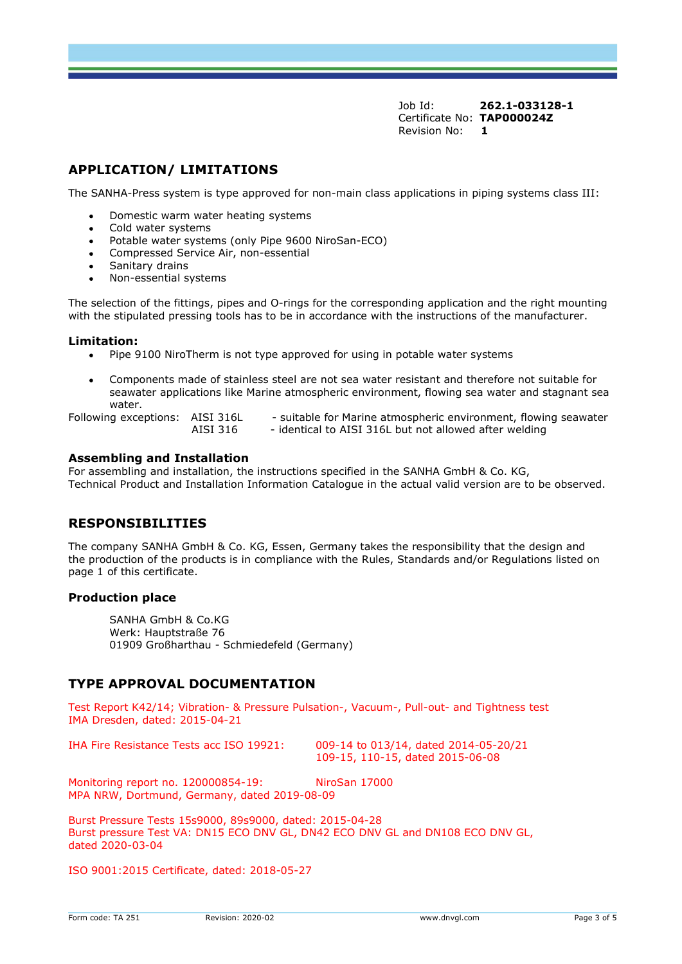## APPLICATION/ LIMITATIONS

The SANHA-Press system is type approved for non-main class applications in piping systems class III:

- Domestic warm water heating systems
- Cold water systems
- Potable water systems (only Pipe 9600 NiroSan-ECO)
- Compressed Service Air, non-essential
- Sanitary drains
- Non-essential systems

The selection of the fittings, pipes and O-rings for the corresponding application and the right mounting with the stipulated pressing tools has to be in accordance with the instructions of the manufacturer.

#### Limitation:

- Pipe 9100 NiroTherm is not type approved for using in potable water systems
- Components made of stainless steel are not sea water resistant and therefore not suitable for seawater applications like Marine atmospheric environment, flowing sea water and stagnant sea water.

Following exceptions: AISI 316L - suitable for Marine atmospheric environment, flowing seawater AISI 316 - identical to AISI 316L but not allowed after welding

#### Assembling and Installation

For assembling and installation, the instructions specified in the SANHA GmbH & Co. KG, Technical Product and Installation Information Catalogue in the actual valid version are to be observed.

## RESPONSIBILITIES

The company SANHA GmbH & Co. KG, Essen, Germany takes the responsibility that the design and the production of the products is in compliance with the Rules, Standards and/or Regulations listed on page 1 of this certificate.

#### Production place

SANHA GmbH & Co.KG Werk: Hauptstraße 76 01909 Großharthau - Schmiedefeld (Germany)

## TYPE APPROVAL DOCUMENTATION

Test Report K42/14; Vibration- & Pressure Pulsation-, Vacuum-, Pull-out- and Tightness test IMA Dresden, dated: 2015-04-21

IHA Fire Resistance Tests acc ISO 19921: 009-14 to 013/14, dated 2014-05-20/21

109-15, 110-15, dated 2015-06-08

Monitoring report no. 120000854-19: NiroSan 17000 MPA NRW, Dortmund, Germany, dated 2019-08-09

SANHA GmbH & Co.KG<br>
Werk: Hauptstraße 76<br>
01909 Großharthau - Schmiedefeld (Germany)<br> **TYPE APPROVAL DOCUMENTATION**<br>
Test Report K42/14; Vibration- & Pressure Pulsation-, Vacuum-, Pull-out- and Tightness test<br>
IMA Dresden, Burst Pressure Tests 15s9000, 89s9000, dated: 2015-04-28 Burst pressure Test VA: DN15 ECO DNV GL, DN42 ECO DNV GL and DN108 ECO DNV GL, dated 2020-03-04

ISO 9001:2015 Certificate, dated: 2018-05-27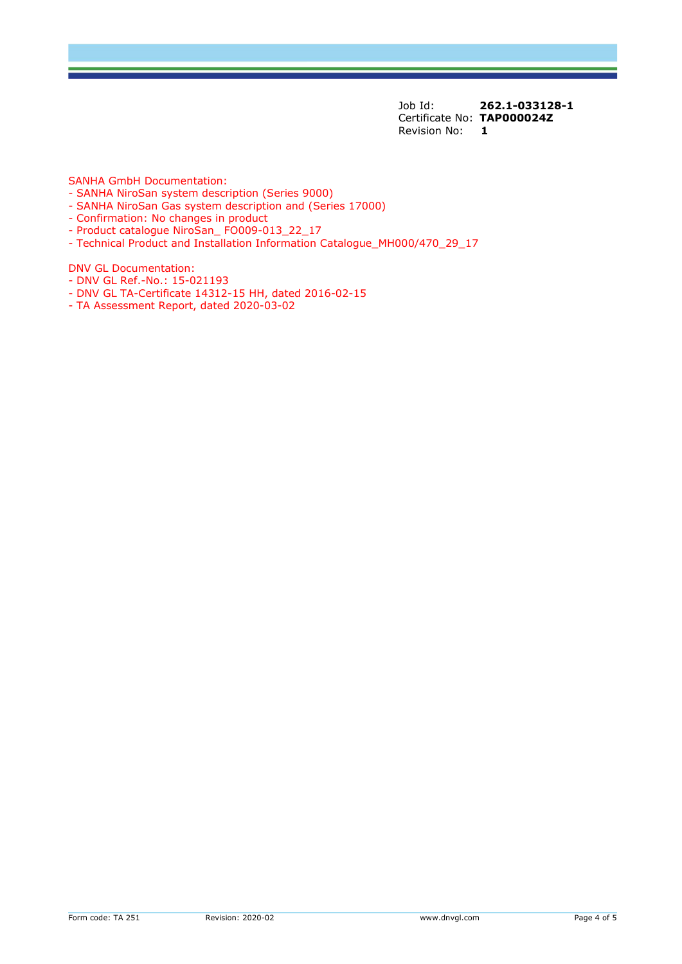SANHA GmbH Documentation:

- SANHA NiroSan system description (Series 9000)
- SANHA NiroSan Gas system description and (Series 17000)
- Confirmation: No changes in product
- Product catalogue NiroSan\_ FO009-013\_22\_17
- Technical Product and Installation Information Catalogue\_MH000/470\_29\_17

DNV GL Documentation:

- DNV GL Ref.-No.: 15-021193
- DNV GL TA-Certificate 14312-15 HH, dated 2016-02-15
- TA Assessment Report, dated 2020-03-02